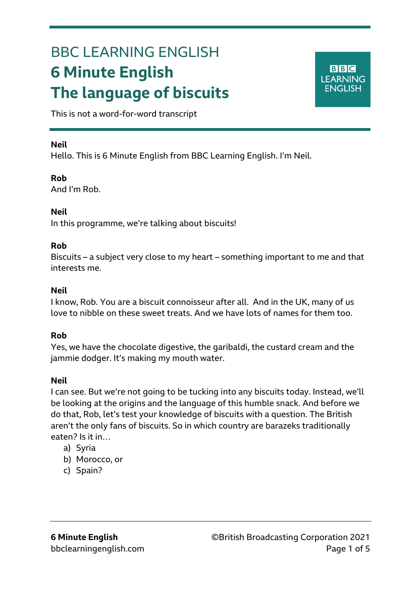# BBC LEARNING ENGLISH **6 Minute English The language of biscuits**

**BBC LEARNING ENGLISH** 

This is not a word-for-word transcript

#### **Neil**

Ξ

Hello. This is 6 Minute English from BBC Learning English. I'm Neil.

#### **Rob**

And I'm Rob.

#### **Neil**

In this programme, we're talking about biscuits!

#### **Rob**

Biscuits – a subject very close to my heart – something important to me and that interests me.

#### **Neil**

I know, Rob. You are a biscuit connoisseur after all. And in the UK, many of us love to nibble on these sweet treats. And we have lots of names for them too.

#### **Rob**

Yes, we have the chocolate digestive, the garibaldi, the custard cream and the jammie dodger. It's making my mouth water.

#### **Neil**

I can see. But we're not going to be tucking into any biscuits today. Instead, we'll be looking at the origins and the language of this humble snack. And before we do that, Rob, let's test your knowledge of biscuits with a question. The British aren't the only fans of biscuits. So in which country are barazeks traditionally eaten? Is it in…

- a) Syria
- b) Morocco, or
- c) Spain?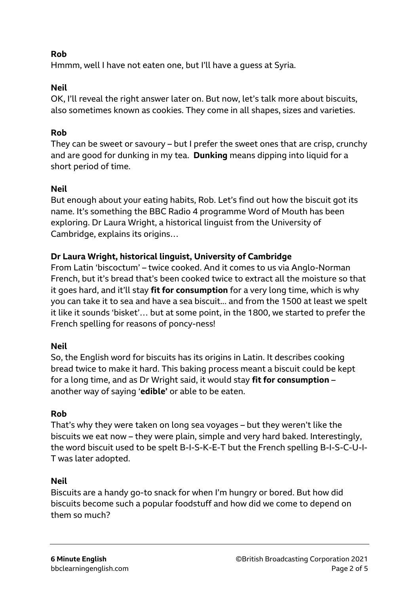# **Rob**

Hmmm, well I have not eaten one, but I'll have a guess at Syria.

# **Neil**

OK, I'll reveal the right answer later on. But now, let's talk more about biscuits, also sometimes known as cookies. They come in all shapes, sizes and varieties.

# **Rob**

They can be sweet or savoury – but I prefer the sweet ones that are crisp, crunchy and are good for dunking in my tea. **Dunking** means dipping into liquid for a short period of time.

# **Neil**

But enough about your eating habits, Rob. Let's find out how the biscuit got its name. It's something the BBC Radio 4 programme Word of Mouth has been exploring. Dr Laura Wright, a historical linguist from the University of Cambridge, explains its origins…

# **Dr Laura Wright, historical linguist, University of Cambridge**

From Latin 'biscoctum' – twice cooked. And it comes to us via Anglo-Norman French, but it's bread that's been cooked twice to extract all the moisture so that it goes hard, and it'll stay **fit for consumption** for a very long time, which is why you can take it to sea and have a sea biscuit... and from the 1500 at least we spelt it like it sounds 'bisket'… but at some point, in the 1800, we started to prefer the French spelling for reasons of poncy-ness!

## **Neil**

So, the English word for biscuits has its origins in Latin. It describes cooking bread twice to make it hard. This baking process meant a biscuit could be kept for a long time, and as Dr Wright said, it would stay **fit for consumption** – another way of saying '**edible'** or able to be eaten.

## **Rob**

That's why they were taken on long sea voyages – but they weren't like the biscuits we eat now – they were plain, simple and very hard baked. Interestingly, the word biscuit used to be spelt B-I-S-K-E-T but the French spelling B-I-S-C-U-I-T was later adopted.

## **Neil**

Biscuits are a handy go-to snack for when I'm hungry or bored. But how did biscuits become such a popular foodstuff and how did we come to depend on them so much?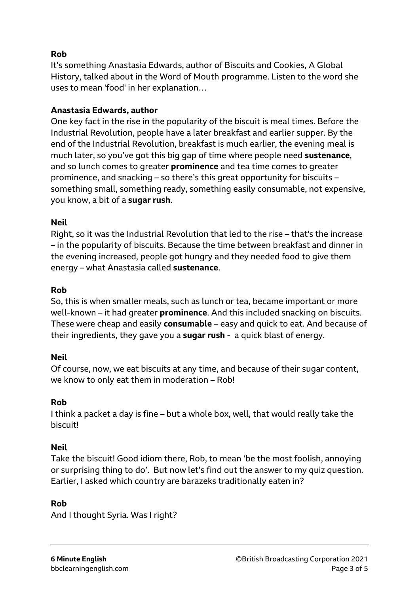# **Rob**

It's something Anastasia Edwards, author of Biscuits and Cookies, A Global History, talked about in the Word of Mouth programme. Listen to the word she uses to mean 'food' in her explanation…

# **Anastasia Edwards, author**

One key fact in the rise in the popularity of the biscuit is meal times. Before the Industrial Revolution, people have a later breakfast and earlier supper. By the end of the Industrial Revolution, breakfast is much earlier, the evening meal is much later, so you've got this big gap of time where people need **sustenance**, and so lunch comes to greater **prominence** and tea time comes to greater prominence, and snacking – so there's this great opportunity for biscuits – something small, something ready, something easily consumable, not expensive, you know, a bit of a **sugar rush**.

## **Neil**

Right, so it was the Industrial Revolution that led to the rise – that's the increase – in the popularity of biscuits. Because the time between breakfast and dinner in the evening increased, people got hungry and they needed food to give them energy – what Anastasia called **sustenance**.

## **Rob**

So, this is when smaller meals, such as lunch or tea, became important or more well-known – it had greater **prominence**. And this included snacking on biscuits. These were cheap and easily **consumable** – easy and quick to eat. And because of their ingredients, they gave you a **sugar rush** - a quick blast of energy.

## **Neil**

Of course, now, we eat biscuits at any time, and because of their sugar content, we know to only eat them in moderation – Rob!

## **Rob**

I think a packet a day is fine – but a whole box, well, that would really take the biscuit!

## **Neil**

Take the biscuit! Good idiom there, Rob, to mean 'be the most foolish, annoying or surprising thing to do'. But now let's find out the answer to my quiz question. Earlier, I asked which country are barazeks traditionally eaten in?

## **Rob**

And I thought Syria. Was I right?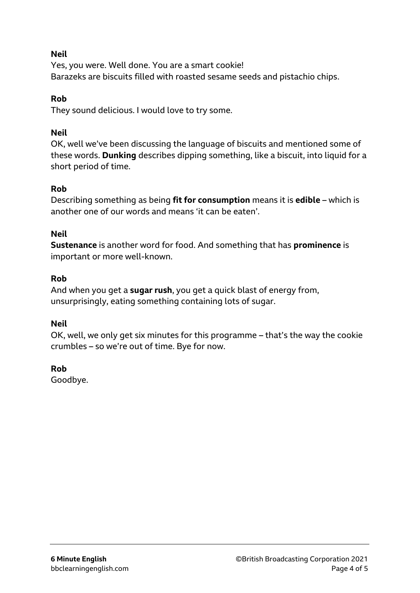# **Neil**

Yes, you were. Well done. You are a smart cookie! Barazeks are biscuits filled with roasted sesame seeds and pistachio chips.

# **Rob**

They sound delicious. I would love to try some.

#### **Neil**

OK, well we've been discussing the language of biscuits and mentioned some of these words. **Dunking** describes dipping something, like a biscuit, into liquid for a short period of time.

#### **Rob**

Describing something as being **fit for consumption** means it is **edible** – which is another one of our words and means 'it can be eaten'.

## **Neil**

**Sustenance** is another word for food. And something that has **prominence** is important or more well-known.

## **Rob**

And when you get a **sugar rush**, you get a quick blast of energy from, unsurprisingly, eating something containing lots of sugar.

## **Neil**

OK, well, we only get six minutes for this programme – that's the way the cookie crumbles – so we're out of time. Bye for now.

## **Rob**

Goodbye.